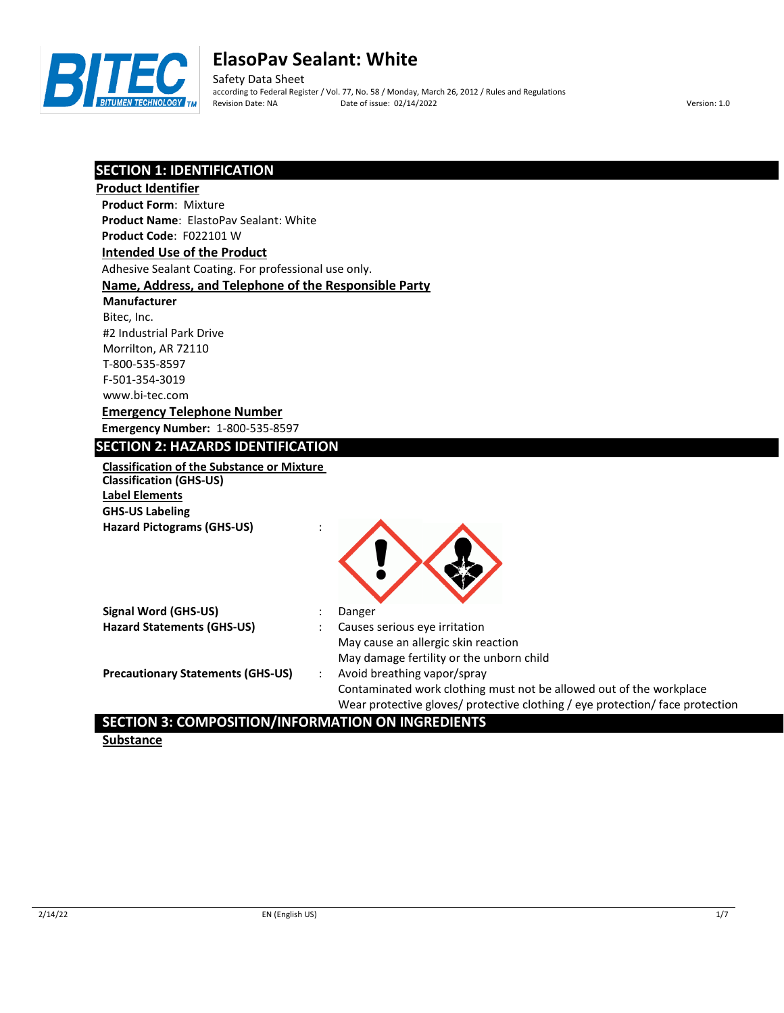

Safety Data Sheet according to Federal Register / Vol. 77, No. 58 / Monday, March 26, 2012 / Rules and Regulations Revision Date: NA Date of issue: 02/14/2022 Version: 1.0

## **SECTION 1: IDENTIFICATION**

| <b>SECTION 1. IDENTIFICATION</b>                      |                                                                               |
|-------------------------------------------------------|-------------------------------------------------------------------------------|
| <b>Product Identifier</b>                             |                                                                               |
| <b>Product Form: Mixture</b>                          |                                                                               |
| <b>Product Name: ElastoPav Sealant: White</b>         |                                                                               |
| Product Code: F022101 W                               |                                                                               |
| <b>Intended Use of the Product</b>                    |                                                                               |
| Adhesive Sealant Coating. For professional use only.  |                                                                               |
| Name, Address, and Telephone of the Responsible Party |                                                                               |
| <b>Manufacturer</b>                                   |                                                                               |
| Bitec, Inc.                                           |                                                                               |
| #2 Industrial Park Drive                              |                                                                               |
| Morrilton, AR 72110                                   |                                                                               |
| T-800-535-8597                                        |                                                                               |
| F-501-354-3019                                        |                                                                               |
| www.bi-tec.com                                        |                                                                               |
| <b>Emergency Telephone Number</b>                     |                                                                               |
| <b>Emergency Number: 1-800-535-8597</b>               |                                                                               |
| <b>SECTION 2: HAZARDS IDENTIFICATION</b>              |                                                                               |
| <b>Classification of the Substance or Mixture</b>     |                                                                               |
| <b>Classification (GHS-US)</b>                        |                                                                               |
| <b>Label Elements</b>                                 |                                                                               |
| <b>GHS-US Labeling</b>                                |                                                                               |
| <b>Hazard Pictograms (GHS-US)</b>                     |                                                                               |
|                                                       |                                                                               |
|                                                       |                                                                               |
|                                                       |                                                                               |
|                                                       |                                                                               |
| <b>Signal Word (GHS-US)</b>                           | Danger                                                                        |
| <b>Hazard Statements (GHS-US)</b>                     | Causes serious eye irritation                                                 |
|                                                       | May cause an allergic skin reaction                                           |
|                                                       | May damage fertility or the unborn child                                      |
| <b>Precautionary Statements (GHS-US)</b>              | Avoid breathing vapor/spray<br>$\ddot{\phantom{a}}$                           |
|                                                       | Contaminated work clothing must not be allowed out of the workplace           |
|                                                       | Wear protective gloves/ protective clothing / eye protection/ face protection |
|                                                       |                                                                               |

## **SECTION 3: COMPOSITION/INFORMATION ON INGREDIENTS**

**Substance**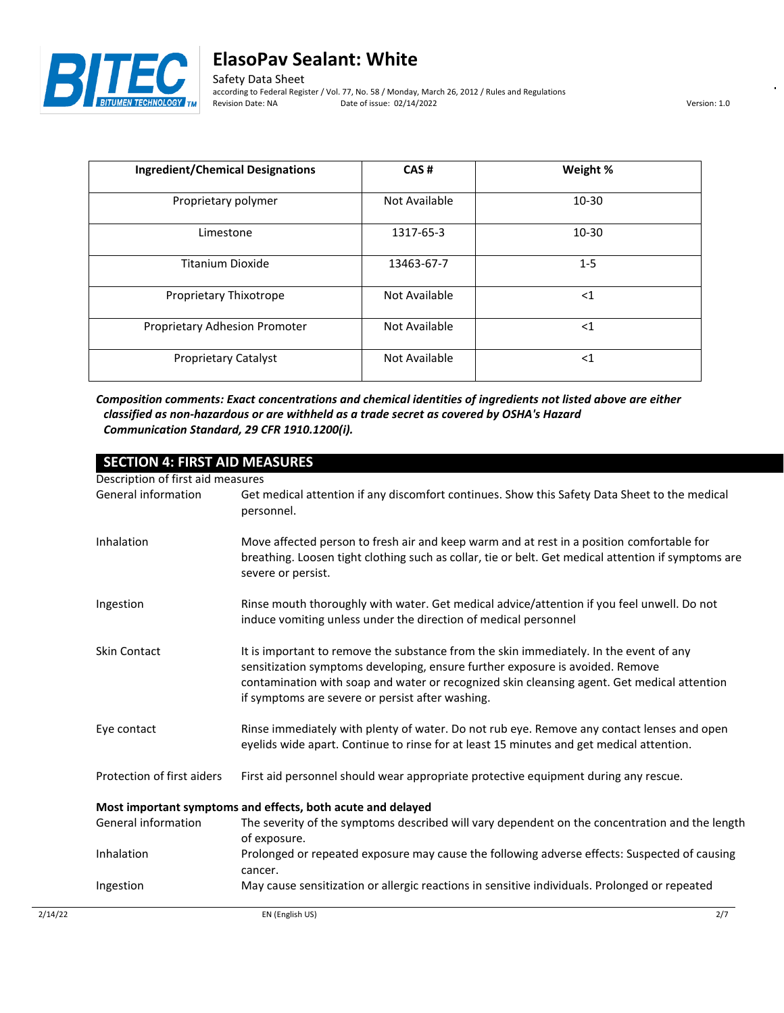

Safety Data Sheet according to Federal Register / Vol. 77, No. 58 / Monday, March 26, 2012 / Rules and Regulations Revision Date: NA Date of issue: 02/14/2022 Version: 1.0

| <b>Ingredient/Chemical Designations</b> | CAS#          | Weight %  |
|-----------------------------------------|---------------|-----------|
| Proprietary polymer                     | Not Available | $10 - 30$ |
| Limestone                               | 1317-65-3     | $10 - 30$ |
| Titanium Dioxide                        | 13463-67-7    | $1 - 5$   |
| Proprietary Thixotrope                  | Not Available | $<$ 1     |
| Proprietary Adhesion Promoter           | Not Available | $<$ 1     |
| <b>Proprietary Catalyst</b>             | Not Available | $<$ 1     |

*Composition comments: Exact concentrations and chemical identities of ingredients not listed above are either classified as non-hazardous or are withheld as a trade secret as covered by OSHA's Hazard Communication Standard, 29 CFR 1910.1200(i).*

| <b>SECTION 4: FIRST AID MEASURES</b>                        |                                                                                                                                                                                                                                                                                                                            |  |  |
|-------------------------------------------------------------|----------------------------------------------------------------------------------------------------------------------------------------------------------------------------------------------------------------------------------------------------------------------------------------------------------------------------|--|--|
| Description of first aid measures                           |                                                                                                                                                                                                                                                                                                                            |  |  |
| General information                                         | Get medical attention if any discomfort continues. Show this Safety Data Sheet to the medical<br>personnel.                                                                                                                                                                                                                |  |  |
| Inhalation                                                  | Move affected person to fresh air and keep warm and at rest in a position comfortable for<br>breathing. Loosen tight clothing such as collar, tie or belt. Get medical attention if symptoms are<br>severe or persist.                                                                                                     |  |  |
| Ingestion                                                   | Rinse mouth thoroughly with water. Get medical advice/attention if you feel unwell. Do not<br>induce vomiting unless under the direction of medical personnel                                                                                                                                                              |  |  |
| <b>Skin Contact</b>                                         | It is important to remove the substance from the skin immediately. In the event of any<br>sensitization symptoms developing, ensure further exposure is avoided. Remove<br>contamination with soap and water or recognized skin cleansing agent. Get medical attention<br>if symptoms are severe or persist after washing. |  |  |
| Eye contact                                                 | Rinse immediately with plenty of water. Do not rub eye. Remove any contact lenses and open<br>eyelids wide apart. Continue to rinse for at least 15 minutes and get medical attention.                                                                                                                                     |  |  |
| Protection of first aiders                                  | First aid personnel should wear appropriate protective equipment during any rescue.                                                                                                                                                                                                                                        |  |  |
| Most important symptoms and effects, both acute and delayed |                                                                                                                                                                                                                                                                                                                            |  |  |
| General information                                         | The severity of the symptoms described will vary dependent on the concentration and the length<br>of exposure.                                                                                                                                                                                                             |  |  |
| Inhalation                                                  | Prolonged or repeated exposure may cause the following adverse effects: Suspected of causing<br>cancer.                                                                                                                                                                                                                    |  |  |
| Ingestion                                                   | May cause sensitization or allergic reactions in sensitive individuals. Prolonged or repeated                                                                                                                                                                                                                              |  |  |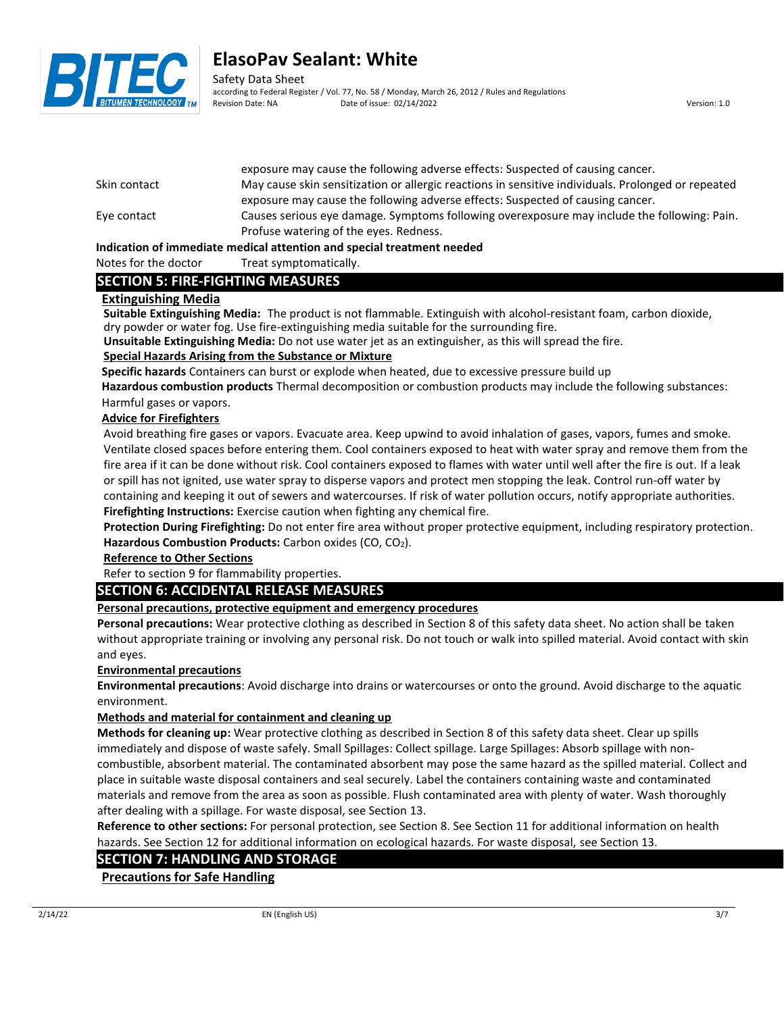

Safety Data Sheet according to Federal Register / Vol. 77, No. 58 / Monday, March 26, 2012 / Rules and Regulations Revision Date: NA Date of issue: 02/14/2022 Version: 1.0

|              | exposure may cause the following auverse effects. Suspected or causing called .                    |
|--------------|----------------------------------------------------------------------------------------------------|
| Skin contact | May cause skin sensitization or allergic reactions in sensitive individuals. Prolonged or repeated |
|              | exposure may cause the following adverse effects: Suspected of causing cancer.                     |
| Eye contact  | Causes serious eye damage. Symptoms following overexposure may include the following: Pain.        |
|              | Profuse watering of the eyes. Redness.                                                             |
|              |                                                                                                    |

exposure may cause the following adverse effects: Suspected of causing cancer.

#### **Indication of immediate medical attention and special treatment needed**

#### Notes for the doctor Treat symptomatically.

## **SECTION 5: FIRE-FIGHTING MEASURES**

### **Extinguishing Media**

**Suitable Extinguishing Media:** The product is not flammable. Extinguish with alcohol-resistant foam, carbon dioxide, dry powder or water fog. Use fire-extinguishing media suitable for the surrounding fire.

**Unsuitable Extinguishing Media:** Do not use water jet as an extinguisher, as this will spread the fire.

### **Special Hazards Arising from the Substance or Mixture**

**Specific hazards** Containers can burst or explode when heated, due to excessive pressure build up

**Hazardous combustion products** Thermal decomposition or combustion products may include the following substances: Harmful gases or vapors.

### **Advice for Firefighters**

Avoid breathing fire gases or vapors. Evacuate area. Keep upwind to avoid inhalation of gases, vapors, fumes and smoke. Ventilate closed spaces before entering them. Cool containers exposed to heat with water spray and remove them from the fire area if it can be done without risk. Cool containers exposed to flames with water until well after the fire is out. If a leak or spill has not ignited, use water spray to disperse vapors and protect men stopping the leak. Control run-off water by containing and keeping it out of sewers and watercourses. If risk of water pollution occurs, notify appropriate authorities. **Firefighting Instructions:** Exercise caution when fighting any chemical fire.

**Protection During Firefighting:** Do not enter fire area without proper protective equipment, including respiratory protection. Hazardous Combustion Products: Carbon oxides (CO, CO<sub>2</sub>).

## **Reference to Other Sections**

Refer to section 9 for flammability properties.

## **SECTION 6: ACCIDENTAL RELEASE MEASURES**

## **Personal precautions, protective equipment and emergency procedures**

**Personal precautions:** Wear protective clothing as described in Section 8 of this safety data sheet. No action shall be taken without appropriate training or involving any personal risk. Do not touch or walk into spilled material. Avoid contact with skin and eyes.

#### **Environmental precautions**

**Environmental precautions**: Avoid discharge into drains or watercourses or onto the ground. Avoid discharge to the aquatic environment.

## **Methods and material for containment and cleaning up**

**Methods for cleaning up:** Wear protective clothing as described in Section 8 of this safety data sheet. Clear up spills immediately and dispose of waste safely. Small Spillages: Collect spillage. Large Spillages: Absorb spillage with noncombustible, absorbent material. The contaminated absorbent may pose the same hazard as the spilled material. Collect and place in suitable waste disposal containers and seal securely. Label the containers containing waste and contaminated materials and remove from the area as soon as possible. Flush contaminated area with plenty of water. Wash thoroughly after dealing with a spillage. For waste disposal, see Section 13.

**Reference to other sections:** For personal protection, see Section 8. See Section 11 for additional information on health hazards. See Section 12 for additional information on ecological hazards. For waste disposal, see Section 13.

## **SECTION 7: HANDLING AND STORAGE**

**Precautions for Safe Handling**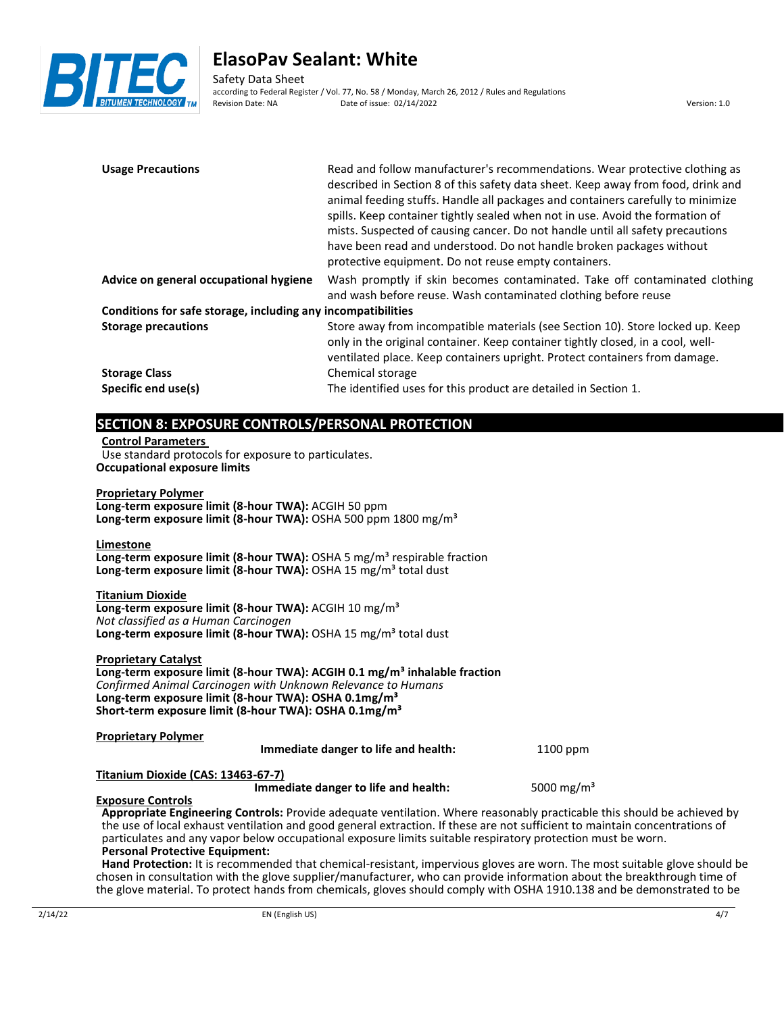

Safety Data Sheet according to Federal Register / Vol. 77, No. 58 / Monday, March 26, 2012 / Rules and Regulations Date of issue: 02/14/2022 Version: 1.0

| <b>Usage Precautions</b>                                                                                                                                                                                            | Read and follow manufacturer's recommendations. Wear protective clothing as<br>described in Section 8 of this safety data sheet. Keep away from food, drink and<br>animal feeding stuffs. Handle all packages and containers carefully to minimize<br>spills. Keep container tightly sealed when not in use. Avoid the formation of<br>mists. Suspected of causing cancer. Do not handle until all safety precautions<br>have been read and understood. Do not handle broken packages without<br>protective equipment. Do not reuse empty containers. |
|---------------------------------------------------------------------------------------------------------------------------------------------------------------------------------------------------------------------|-------------------------------------------------------------------------------------------------------------------------------------------------------------------------------------------------------------------------------------------------------------------------------------------------------------------------------------------------------------------------------------------------------------------------------------------------------------------------------------------------------------------------------------------------------|
| Advice on general occupational hygiene                                                                                                                                                                              | Wash promptly if skin becomes contaminated. Take off contaminated clothing<br>and wash before reuse. Wash contaminated clothing before reuse                                                                                                                                                                                                                                                                                                                                                                                                          |
| Conditions for safe storage, including any incompatibilities                                                                                                                                                        |                                                                                                                                                                                                                                                                                                                                                                                                                                                                                                                                                       |
| <b>Storage precautions</b>                                                                                                                                                                                          | Store away from incompatible materials (see Section 10). Store locked up. Keep<br>only in the original container. Keep container tightly closed, in a cool, well-<br>ventilated place. Keep containers upright. Protect containers from damage.                                                                                                                                                                                                                                                                                                       |
| <b>Storage Class</b>                                                                                                                                                                                                | Chemical storage                                                                                                                                                                                                                                                                                                                                                                                                                                                                                                                                      |
| Specific end use(s)                                                                                                                                                                                                 | The identified uses for this product are detailed in Section 1.                                                                                                                                                                                                                                                                                                                                                                                                                                                                                       |
|                                                                                                                                                                                                                     |                                                                                                                                                                                                                                                                                                                                                                                                                                                                                                                                                       |
| SECTION 8: EXPOSURE CONTROLS/PERSONAL PROTECTION<br><b>Control Parameters</b><br>Use standard protocols for exposure to particulates.<br><b>Occupational exposure limits</b>                                        |                                                                                                                                                                                                                                                                                                                                                                                                                                                                                                                                                       |
| <b>Proprietary Polymer</b><br>Long-term exposure limit (8-hour TWA): ACGIH 50 ppm<br>Long-term exposure limit (8-hour TWA): OSHA 500 ppm 1800 mg/m <sup>3</sup>                                                     |                                                                                                                                                                                                                                                                                                                                                                                                                                                                                                                                                       |
| Limestone<br>Long-term exposure limit (8-hour TWA): OSHA 5 mg/m <sup>3</sup> respirable fraction<br>Long-term exposure limit (8-hour TWA): OSHA 15 mg/m <sup>3</sup> total dust                                     |                                                                                                                                                                                                                                                                                                                                                                                                                                                                                                                                                       |
| <b>Titanium Dioxide</b><br>Long-term exposure limit (8-hour TWA): ACGIH 10 mg/m <sup>3</sup><br>Not classified as a Human Carcinogen<br>Long-term exposure limit (8-hour TWA): OSHA 15 mg/m <sup>3</sup> total dust |                                                                                                                                                                                                                                                                                                                                                                                                                                                                                                                                                       |
| <b>Proprietary Catalyst</b>                                                                                                                                                                                         | $\epsilon$ limit (0 heavy TIMA), ACCILLO 4 use $\ell$ as 3 inheriable function                                                                                                                                                                                                                                                                                                                                                                                                                                                                        |

**Long-term exposure limit (8-hour TWA): ACGIH 0.1 mg/m³ inhalable fraction** *Confirmed Animal Carcinogen with Unknown Relevance to Humans* **Long-term exposure limit (8-hour TWA): OSHA 0.1mg/m³ Short-term exposure limit (8-hour TWA): OSHA 0.1mg/m³**

| <b>Proprietary Polymer</b>         | Immediate danger to life and health:                                                                                        | 1100 ppm               |  |
|------------------------------------|-----------------------------------------------------------------------------------------------------------------------------|------------------------|--|
| Titanium Dioxide (CAS: 13463-67-7) |                                                                                                                             |                        |  |
|                                    | Immediate danger to life and health:                                                                                        | 5000 mg/m <sup>3</sup> |  |
| <b>Exposure Controls</b>           |                                                                                                                             |                        |  |
|                                    | Appropriate Engineering Controls: Provide adequate ventilation. Where reasonably practicable this should be achieved by     |                        |  |
|                                    | the use of local exhaust ventilation and good general extraction. If these are not sufficient to maintain concentrations of |                        |  |
|                                    | particulates and any vapor below occupational exposure limits suitable respiratory protection must be worn.                 |                        |  |
|                                    |                                                                                                                             |                        |  |

## **Personal Protective Equipment:**

**Hand Protection:** It is recommended that chemical-resistant, impervious gloves are worn. The most suitable glove should be chosen in consultation with the glove supplier/manufacturer, who can provide information about the breakthrough time of the glove material. To protect hands from chemicals, gloves should comply with OSHA 1910.138 and be demonstrated to be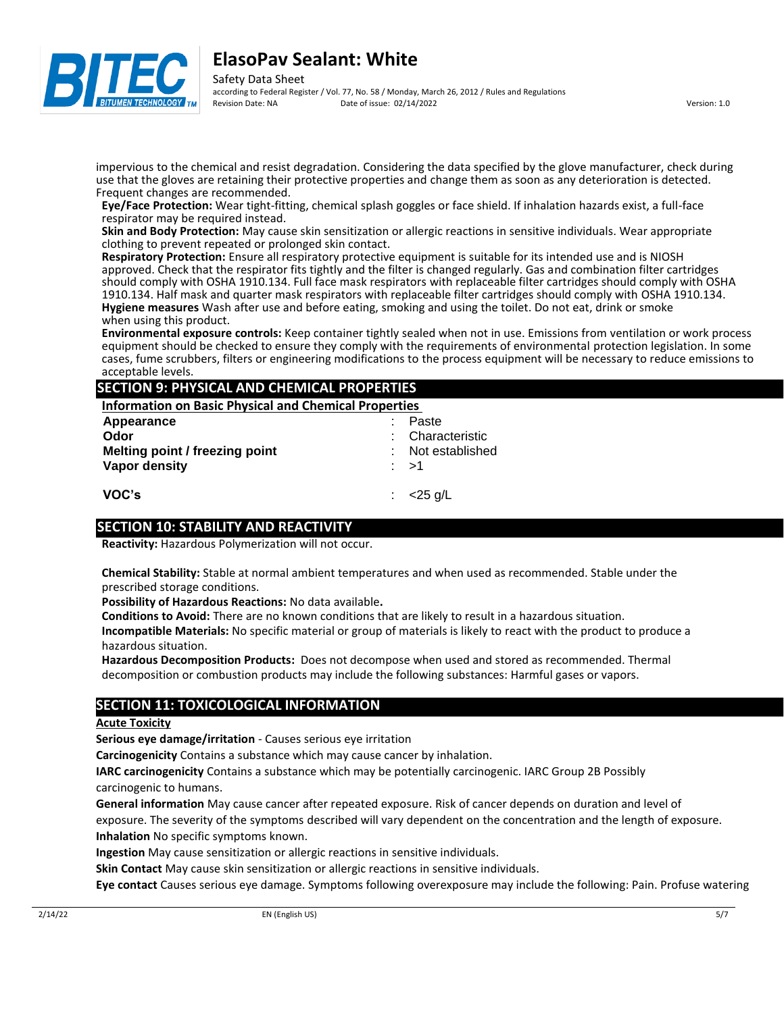

according to Federal Register / Vol. 77, No. 58 / Monday, March 26, 2012 / Rules and Regulations<br>Revision Date: NA Date of issue: 02/14/2022 Pate of issue: 02/14/2022 Version: 1.0

impervious to the chemical and resist degradation. Considering the data specified by the glove manufacturer, check during use that the gloves are retaining their protective properties and change them as soon as any deterioration is detected. Frequent changes are recommended.

**Eye/Face Protection:** Wear tight-fitting, chemical splash goggles or face shield. If inhalation hazards exist, a full-face respirator may be required instead.

**Skin and Body Protection:** May cause skin sensitization or allergic reactions in sensitive individuals. Wear appropriate clothing to prevent repeated or prolonged skin contact.

**Respiratory Protection:** Ensure all respiratory protective equipment is suitable for its intended use and is NIOSH approved. Check that the respirator fits tightly and the filter is changed regularly. Gas and combination filter cartridges should comply with OSHA 1910.134. Full face mask respirators with replaceable filter cartridges should comply with OSHA 1910.134. Half mask and quarter mask respirators with replaceable filter cartridges should comply with OSHA 1910.134. **Hygiene measures** Wash after use and before eating, smoking and using the toilet. Do not eat, drink or smoke when using this product.

**Environmental exposure controls:** Keep container tightly sealed when not in use. Emissions from ventilation or work process equipment should be checked to ensure they comply with the requirements of environmental protection legislation. In some cases, fume scrubbers, filters or engineering modifications to the process equipment will be necessary to reduce emissions to acceptable levels.

## **SECTION 9: PHYSICAL AND CHEMICAL PROPERTIES**

**Information on Basic Physical and Chemical Properties** 

| Appearance                     | Paste            |
|--------------------------------|------------------|
| Odor                           | : Characteristic |
| Melting point / freezing point | Not established  |
| Vapor density                  | : >1             |
|                                |                  |
| VOC's                          | $<$ 25 g/L       |

## **SECTION 10: STABILITY AND REACTIVITY**

**Reactivity:** Hazardous Polymerization will not occur.

**Chemical Stability:** Stable at normal ambient temperatures and when used as recommended. Stable under the prescribed storage conditions.

**Possibility of Hazardous Reactions:** No data available**.**

**Conditions to Avoid:** There are no known conditions that are likely to result in a hazardous situation.

**Incompatible Materials:** No specific material or group of materials is likely to react with the product to produce a hazardous situation.

**Hazardous Decomposition Products:** Does not decompose when used and stored as recommended. Thermal decomposition or combustion products may include the following substances: Harmful gases or vapors.

## **SECTION 11: TOXICOLOGICAL INFORMATION**

#### **Acute Toxicity**

**Serious eye damage/irritation** - Causes serious eye irritation

**Carcinogenicity** Contains a substance which may cause cancer by inhalation.

**IARC carcinogenicity** Contains a substance which may be potentially carcinogenic. IARC Group 2B Possibly carcinogenic to humans.

**General information** May cause cancer after repeated exposure. Risk of cancer depends on duration and level of exposure. The severity of the symptoms described will vary dependent on the concentration and the length of exposure. **Inhalation** No specific symptoms known.

**Ingestion** May cause sensitization or allergic reactions in sensitive individuals.

**Skin Contact** May cause skin sensitization or allergic reactions in sensitive individuals.

**Eye contact** Causes serious eye damage. Symptoms following overexposure may include the following: Pain. Profuse watering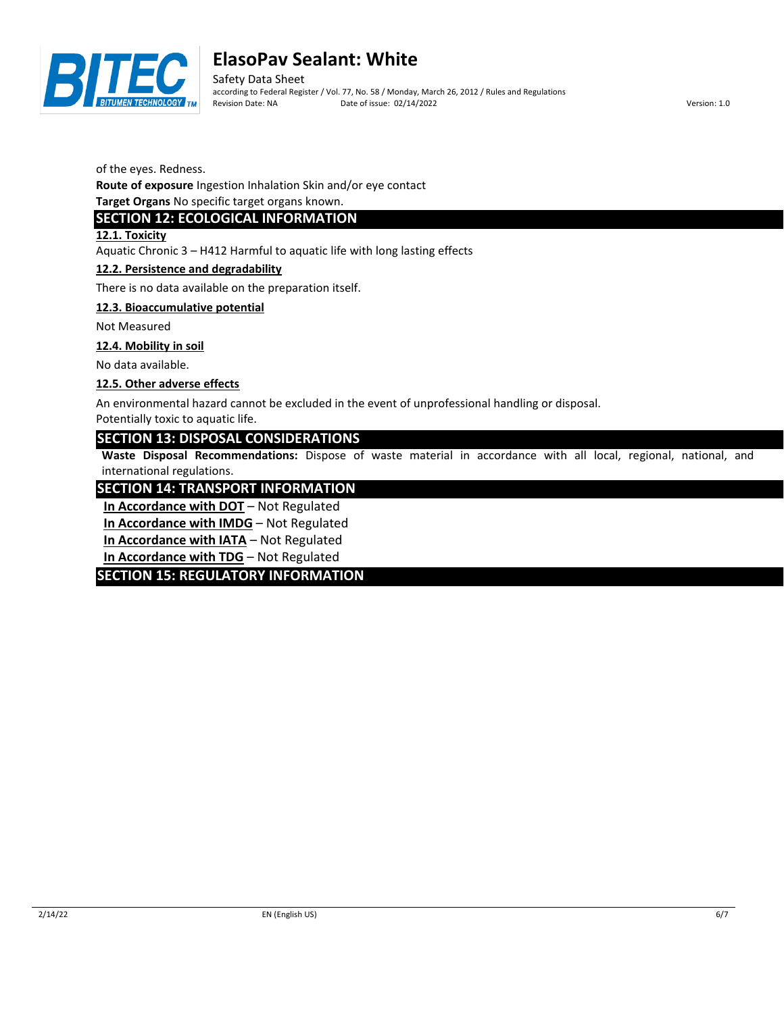

Safety Data Sheet according to Federal Register / Vol. 77, No. 58 / Monday, March 26, 2012 / Rules and Regulations Revision Date: NA Date of issue: 02/14/2022 Version: 1.0

of the eyes. Redness.

**Route of exposure** Ingestion Inhalation Skin and/or eye contact

**Target Organs** No specific target organs known.

## **SECTION 12: ECOLOGICAL INFORMATION**

**12.1. Toxicity**

Aquatic Chronic 3 – H412 Harmful to aquatic life with long lasting effects

### **12.2. Persistence and degradability**

There is no data available on the preparation itself.

### **12.3. Bioaccumulative potential**

Not Measured

#### **12.4. Mobility in soil**

No data available.

### **12.5. Other adverse effects**

An environmental hazard cannot be excluded in the event of unprofessional handling or disposal.

Potentially toxic to aquatic life.

## **SECTION 13: DISPOSAL CONSIDERATIONS**

**Waste Disposal Recommendations:** Dispose of waste material in accordance with all local, regional, national, and international regulations.

## **SECTION 14: TRANSPORT INFORMATION**

**In Accordance with DOT** – Not Regulated

**In Accordance with IMDG** – Not Regulated

**In Accordance with IATA** – Not Regulated

**In Accordance with TDG** – Not Regulated

## **SECTION 15: REGULATORY INFORMATION**